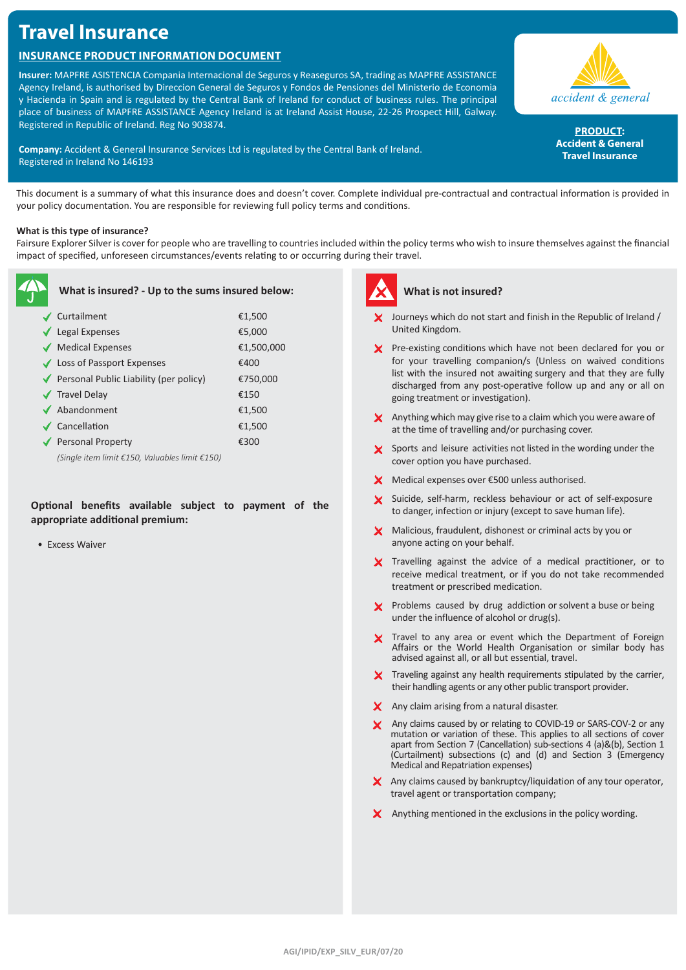# **Travel Insurance**

# **Insurance Product Information Document**

**Insurer:** MAPFRE ASISTENCIA Compania Internacional de Seguros y Reaseguros SA, trading as MAPFRE ASSISTANCE Agency Ireland, is authorised by Direccion General de Seguros y Fondos de Pensiones del Ministerio de Economia y Hacienda in Spain and is regulated by the Central Bank of Ireland for conduct of business rules. The principal place of business of MAPFRE ASSISTANCE Agency Ireland is at Ireland Assist House, 22-26 Prospect Hill, Galway. Registered in Republic of Ireland. Reg No 903874.



accident & general

**PRODUCT: Accident & General Travel Insurance**

This document is a summary of what this insurance does and doesn't cover. Complete individual pre-contractual and contractual information is provided in your policy documentation. You are responsible for reviewing full policy terms and conditions.

### **What is this type of insurance?**

Fairsure Explorer Silver is cover for people who are travelling to countries included within the policy terms who wish to insure themselves against the financial impact of specified, unforeseen circumstances/events relating to or occurring during their travel.

| What is insured? - Up to the sums insured below: |            |
|--------------------------------------------------|------------|
| ✔ Curtailment                                    | €1,500     |
| $\blacktriangleright$ Legal Expenses             | €5,000     |
| $\blacktriangleright$ Medical Expenses           | €1,500,000 |
| ◆ Loss of Passport Expenses                      | €400       |
| Personal Public Liability (per policy)           | €750,000   |
| <b>√</b> Travel Delay                            | €150       |
| $\blacktriangleright$ Abandonment                | €1,500     |
| Cancellation                                     | €1,500     |
| ◆ Personal Property                              | €300       |
| (Single item limit €150, Valuables limit €150)   |            |

## **Optional benefits available subject to payment of the appropriate additional premium:**

• Excess Waiver



## **What is not insured?**

- Journeys which do not start and finish in the Republic of Ireland / United Kingdom.
- X Pre-existing conditions which have not been declared for you or for your travelling companion/s (Unless on waived conditions list with the insured not awaiting surgery and that they are fully discharged from any post-operative follow up and any or all on going treatment or investigation).
- $\boldsymbol{\times}$  Anything which may give rise to a claim which you were aware of at the time of travelling and/or purchasing cover.
- Sports and leisure activities not listed in the wording under the cover option you have purchased.
- X Medical expenses over €500 unless authorised.
- X Suicide, self-harm, reckless behaviour or act of self-exposure to danger, infection or injury (except to save human life).
- X Malicious, fraudulent, dishonest or criminal acts by you or anyone acting on your behalf.
- X Travelling against the advice of a medical practitioner, or to receive medical treatment, or if you do not take recommended treatment or prescribed medication.
- Y Problems caused by drug addiction or solvent a buse or being under the influence of alcohol or drug(s).
- X Travel to any area or event which the Department of Foreign Affairs or the World Health Organisation or similar body has advised against all, or all but essential, travel.
- $\boldsymbol{\times}$  Traveling against any health requirements stipulated by the carrier, their handling agents or any other public transport provider.
- X Any claim arising from a natural disaster.
- X Any claims caused by or relating to COVID-19 or SARS-COV-2 or any mutation or variation of these. This applies to all sections of cover apart from Section 7 (Cancellation) sub-sections 4 (a)&(b), Section 1 (Curtailment) subsections (c) and (d) and Section 3 (Emergency Medical and Repatriation expenses)
- $\boldsymbol{\times}$  Any claims caused by bankruptcy/liquidation of any tour operator, travel agent or transportation company;
- $\mathsf{\times}$  Anything mentioned in the exclusions in the policy wording.